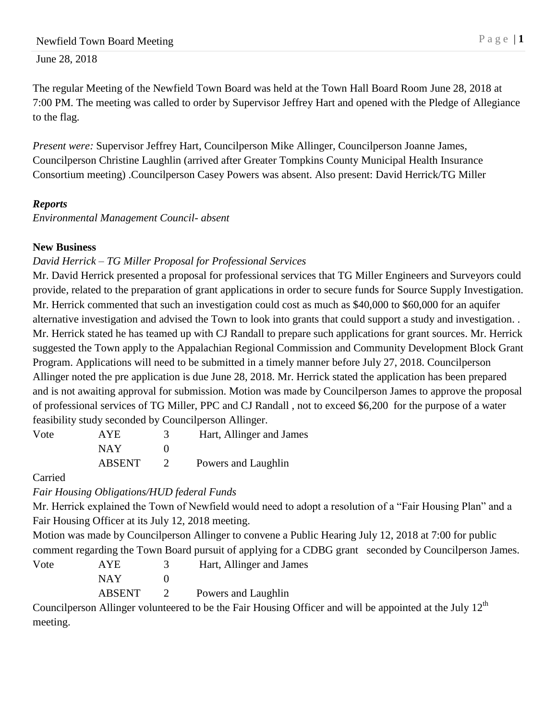The regular Meeting of the Newfield Town Board was held at the Town Hall Board Room June 28, 2018 at 7:00 PM. The meeting was called to order by Supervisor Jeffrey Hart and opened with the Pledge of Allegiance to the flag.

*Present were:* Supervisor Jeffrey Hart, Councilperson Mike Allinger, Councilperson Joanne James, Councilperson Christine Laughlin (arrived after Greater Tompkins County Municipal Health Insurance Consortium meeting) .Councilperson Casey Powers was absent. Also present: David Herrick/TG Miller

# *Reports*

*Environmental Management Council- absent*

### **New Business**

## *David Herrick – TG Miller Proposal for Professional Services*

Mr. David Herrick presented a proposal for professional services that TG Miller Engineers and Surveyors could provide, related to the preparation of grant applications in order to secure funds for Source Supply Investigation. Mr. Herrick commented that such an investigation could cost as much as \$40,000 to \$60,000 for an aquifer alternative investigation and advised the Town to look into grants that could support a study and investigation. . Mr. Herrick stated he has teamed up with CJ Randall to prepare such applications for grant sources. Mr. Herrick suggested the Town apply to the Appalachian Regional Commission and Community Development Block Grant Program. Applications will need to be submitted in a timely manner before July 27, 2018. Councilperson Allinger noted the pre application is due June 28, 2018. Mr. Herrick stated the application has been prepared and is not awaiting approval for submission. Motion was made by Councilperson James to approve the proposal of professional services of TG Miller, PPC and CJ Randall , not to exceed \$6,200 for the purpose of a water feasibility study seconded by Councilperson Allinger.

| Vote | <b>AYE</b>    | Hart, Allinger and James |
|------|---------------|--------------------------|
|      | <b>NAY</b>    |                          |
|      | <b>ABSENT</b> | Powers and Laughlin      |

Carried

*Fair Housing Obligations/HUD federal Funds*

Mr. Herrick explained the Town of Newfield would need to adopt a resolution of a "Fair Housing Plan" and a Fair Housing Officer at its July 12, 2018 meeting.

Motion was made by Councilperson Allinger to convene a Public Hearing July 12, 2018 at 7:00 for public comment regarding the Town Board pursuit of applying for a CDBG grant seconded by Councilperson James.

| Vote | AYE.          | Hart, Allinger and James |
|------|---------------|--------------------------|
|      | NAY           |                          |
|      | <b>ABSENT</b> | Powers and Laughlin      |

Councilperson Allinger volunteered to be the Fair Housing Officer and will be appointed at the July  $12<sup>th</sup>$ meeting.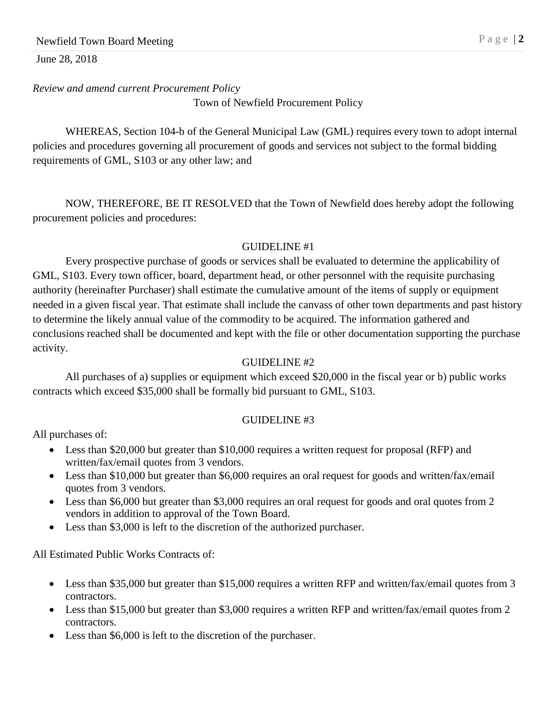*Review and amend current Procurement Policy* 

Town of Newfield Procurement Policy

WHEREAS, Section 104-b of the General Municipal Law (GML) requires every town to adopt internal policies and procedures governing all procurement of goods and services not subject to the formal bidding requirements of GML, S103 or any other law; and

NOW, THEREFORE, BE IT RESOLVED that the Town of Newfield does hereby adopt the following procurement policies and procedures:

#### GUIDELINE #1

Every prospective purchase of goods or services shall be evaluated to determine the applicability of GML, S103. Every town officer, board, department head, or other personnel with the requisite purchasing authority (hereinafter Purchaser) shall estimate the cumulative amount of the items of supply or equipment needed in a given fiscal year. That estimate shall include the canvass of other town departments and past history to determine the likely annual value of the commodity to be acquired. The information gathered and conclusions reached shall be documented and kept with the file or other documentation supporting the purchase activity.

#### GUIDELINE #2

All purchases of a) supplies or equipment which exceed \$20,000 in the fiscal year or b) public works contracts which exceed \$35,000 shall be formally bid pursuant to GML, S103.

### GUIDELINE #3

All purchases of:

- Less than \$20,000 but greater than \$10,000 requires a written request for proposal (RFP) and written/fax/email quotes from 3 vendors.
- Less than \$10,000 but greater than \$6,000 requires an oral request for goods and written/fax/email quotes from 3 vendors.
- Less than \$6,000 but greater than \$3,000 requires an oral request for goods and oral quotes from 2 vendors in addition to approval of the Town Board.
- Less than \$3,000 is left to the discretion of the authorized purchaser.

All Estimated Public Works Contracts of:

- Less than \$35,000 but greater than \$15,000 requires a written RFP and written/fax/email quotes from 3 contractors.
- Less than \$15,000 but greater than \$3,000 requires a written RFP and written/fax/email quotes from 2 contractors.
- Less than \$6,000 is left to the discretion of the purchaser.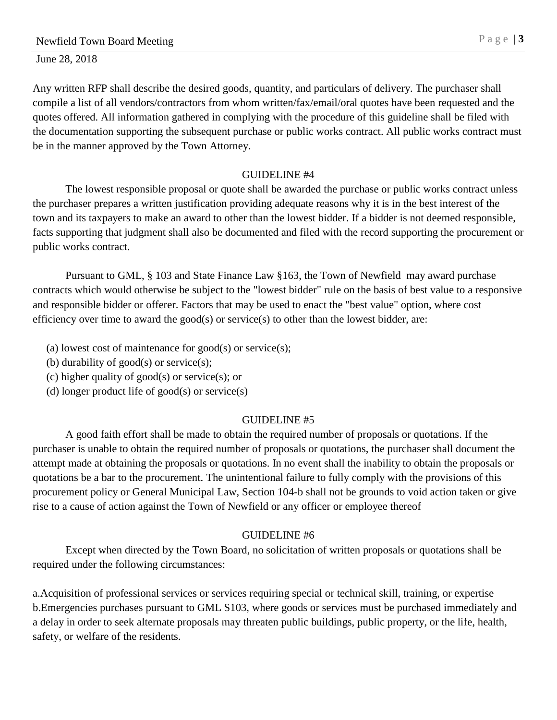Any written RFP shall describe the desired goods, quantity, and particulars of delivery. The purchaser shall compile a list of all vendors/contractors from whom written/fax/email/oral quotes have been requested and the quotes offered. All information gathered in complying with the procedure of this guideline shall be filed with the documentation supporting the subsequent purchase or public works contract. All public works contract must be in the manner approved by the Town Attorney.

#### GUIDELINE #4

The lowest responsible proposal or quote shall be awarded the purchase or public works contract unless the purchaser prepares a written justification providing adequate reasons why it is in the best interest of the town and its taxpayers to make an award to other than the lowest bidder. If a bidder is not deemed responsible, facts supporting that judgment shall also be documented and filed with the record supporting the procurement or public works contract.

Pursuant to GML, § 103 and State Finance Law §163, the Town of Newfield may award purchase contracts which would otherwise be subject to the "lowest bidder" rule on the basis of best value to a responsive and responsible bidder or offerer. Factors that may be used to enact the "best value" option, where cost efficiency over time to award the good(s) or service(s) to other than the lowest bidder, are:

- (a) lowest cost of maintenance for  $\text{good}(s)$  or service $(s)$ ;
- (b) durability of good(s) or service(s);
- (c) higher quality of good(s) or service(s); or
- (d) longer product life of  $good(s)$  or service $(s)$

### GUIDELINE #5

A good faith effort shall be made to obtain the required number of proposals or quotations. If the purchaser is unable to obtain the required number of proposals or quotations, the purchaser shall document the attempt made at obtaining the proposals or quotations. In no event shall the inability to obtain the proposals or quotations be a bar to the procurement. The unintentional failure to fully comply with the provisions of this procurement policy or General Municipal Law, Section 104-b shall not be grounds to void action taken or give rise to a cause of action against the Town of Newfield or any officer or employee thereof

### GUIDELINE #6

Except when directed by the Town Board, no solicitation of written proposals or quotations shall be required under the following circumstances:

a.Acquisition of professional services or services requiring special or technical skill, training, or expertise b.Emergencies purchases pursuant to GML S103, where goods or services must be purchased immediately and a delay in order to seek alternate proposals may threaten public buildings, public property, or the life, health, safety, or welfare of the residents.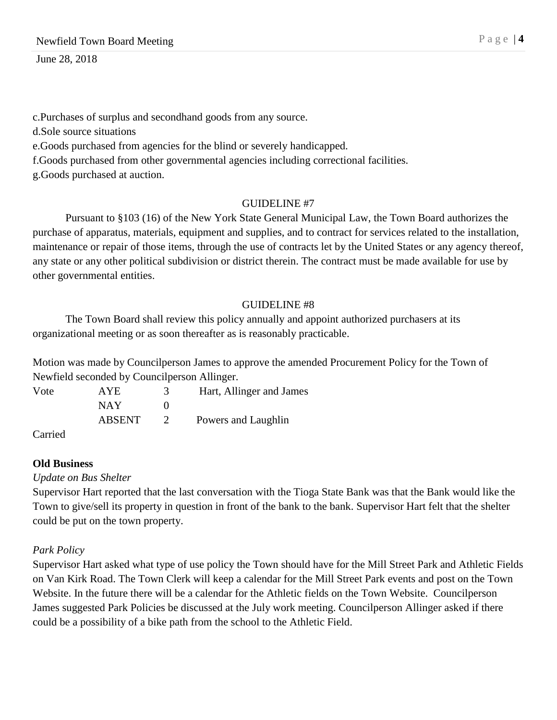c.Purchases of surplus and secondhand goods from any source. d.Sole source situations e.Goods purchased from agencies for the blind or severely handicapped. f.Goods purchased from other governmental agencies including correctional facilities. g.Goods purchased at auction.

### GUIDELINE #7

Pursuant to §103 (16) of the New York State General Municipal Law, the Town Board authorizes the purchase of apparatus, materials, equipment and supplies, and to contract for services related to the installation, maintenance or repair of those items, through the use of contracts let by the United States or any agency thereof, any state or any other political subdivision or district therein. The contract must be made available for use by other governmental entities.

### GUIDELINE #8

The Town Board shall review this policy annually and appoint authorized purchasers at its organizational meeting or as soon thereafter as is reasonably practicable.

Motion was made by Councilperson James to approve the amended Procurement Policy for the Town of Newfield seconded by Councilperson Allinger.

Vote AYE 3 Hart, Allinger and James NAY 0 ABSENT 2 Powers and Laughlin

Carried

### **Old Business**

*Update on Bus Shelter*

Supervisor Hart reported that the last conversation with the Tioga State Bank was that the Bank would like the Town to give/sell its property in question in front of the bank to the bank. Supervisor Hart felt that the shelter could be put on the town property.

# *Park Policy*

Supervisor Hart asked what type of use policy the Town should have for the Mill Street Park and Athletic Fields on Van Kirk Road. The Town Clerk will keep a calendar for the Mill Street Park events and post on the Town Website. In the future there will be a calendar for the Athletic fields on the Town Website. Councilperson James suggested Park Policies be discussed at the July work meeting. Councilperson Allinger asked if there could be a possibility of a bike path from the school to the Athletic Field.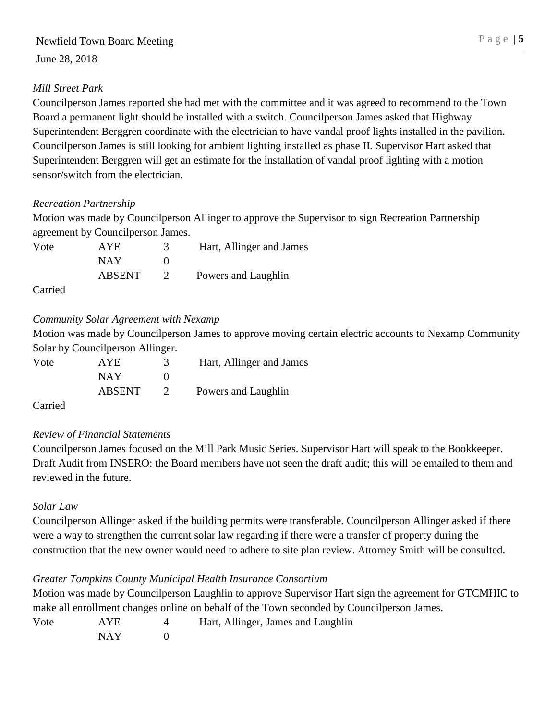## *Mill Street Park*

Councilperson James reported she had met with the committee and it was agreed to recommend to the Town Board a permanent light should be installed with a switch. Councilperson James asked that Highway Superintendent Berggren coordinate with the electrician to have vandal proof lights installed in the pavilion. Councilperson James is still looking for ambient lighting installed as phase II. Supervisor Hart asked that Superintendent Berggren will get an estimate for the installation of vandal proof lighting with a motion sensor/switch from the electrician.

### *Recreation Partnership*

Motion was made by Councilperson Allinger to approve the Supervisor to sign Recreation Partnership agreement by Councilperson James.

| Vote | <b>AYE</b>    | Hart, Allinger and James |
|------|---------------|--------------------------|
|      | <b>NAY</b>    |                          |
|      | <b>ABSENT</b> | Powers and Laughlin      |

Carried

## *Community Solar Agreement with Nexamp*

Motion was made by Councilperson James to approve moving certain electric accounts to Nexamp Community Solar by Councilperson Allinger.

| Vote | <b>AYE</b>    | Hart, Allinger and James |
|------|---------------|--------------------------|
|      | <b>NAY</b>    |                          |
|      | <b>ABSENT</b> | Powers and Laughlin      |

Carried

# *Review of Financial Statements*

Councilperson James focused on the Mill Park Music Series. Supervisor Hart will speak to the Bookkeeper. Draft Audit from INSERO: the Board members have not seen the draft audit; this will be emailed to them and reviewed in the future.

### *Solar Law*

Councilperson Allinger asked if the building permits were transferable. Councilperson Allinger asked if there were a way to strengthen the current solar law regarding if there were a transfer of property during the construction that the new owner would need to adhere to site plan review. Attorney Smith will be consulted.

# *Greater Tompkins County Municipal Health Insurance Consortium*

Motion was made by Councilperson Laughlin to approve Supervisor Hart sign the agreement for GTCMHIC to make all enrollment changes online on behalf of the Town seconded by Councilperson James.

| Vote | <b>AYE</b>    | Hart, Allinger, James and Laughlin |
|------|---------------|------------------------------------|
|      | <b>BTA TT</b> |                                    |